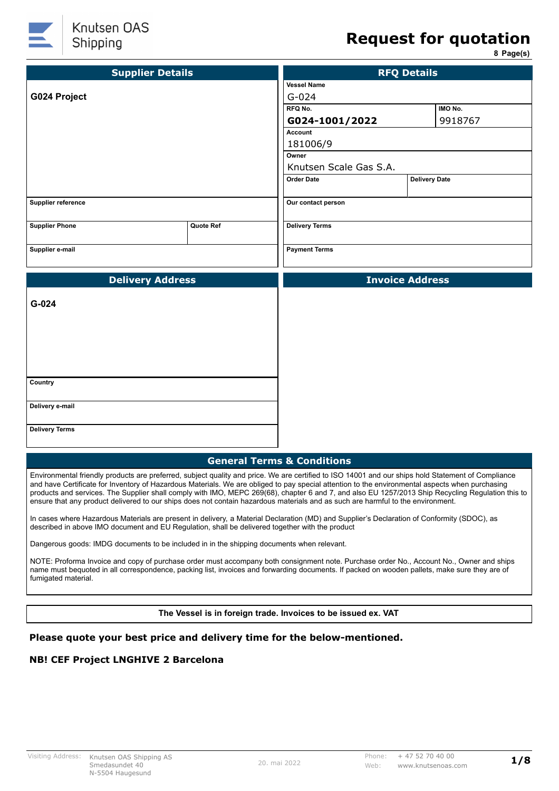

# **Request for quotation**

**8 Page(s)**

| <b>Supplier Details</b> | <b>RFQ Details</b> |                        |                      |         |
|-------------------------|--------------------|------------------------|----------------------|---------|
|                         |                    | <b>Vessel Name</b>     |                      |         |
| G024 Project            | $G - 024$          |                        |                      |         |
|                         |                    | RFQ No.                |                      | IMO No. |
|                         |                    | G024-1001/2022         |                      | 9918767 |
|                         |                    | Account                |                      |         |
|                         |                    | 181006/9               |                      |         |
|                         |                    | Owner                  |                      |         |
|                         |                    | Knutsen Scale Gas S.A. |                      |         |
|                         |                    | <b>Order Date</b>      | <b>Delivery Date</b> |         |
| Supplier reference      |                    | Our contact person     |                      |         |
| <b>Supplier Phone</b>   | Quote Ref          | <b>Delivery Terms</b>  |                      |         |
| Supplier e-mail         |                    | <b>Payment Terms</b>   |                      |         |
| <b>Delivery Address</b> |                    | <b>Invoice Address</b> |                      |         |
|                         |                    |                        |                      |         |
| G-024                   |                    |                        |                      |         |
| Country                 |                    |                        |                      |         |
| Delivery e-mail         |                    |                        |                      |         |
| <b>Delivery Terms</b>   |                    |                        |                      |         |

Environmental friendly products are preferred, subject quality and price. We are certified to ISO 14001 and our ships hold Statement of Compliance and have Certificate for Inventory of Hazardous Materials. We are obliged to pay special attention to the environmental aspects when purchasing products and services. The Supplier shall comply with IMO, MEPC 269(68), chapter 6 and 7, and also EU 1257/2013 Ship Recycling Regulation this to ensure that any product delivered to our ships does not contain hazardous materials and as such are harmful to the environment.

In cases where Hazardous Materials are present in delivery, a Material Declaration (MD) and Supplier's Declaration of Conformity (SDOC), as described in above IMO document and EU Regulation, shall be delivered together with the product

Dangerous goods: IMDG documents to be included in in the shipping documents when relevant.

NOTE: Proforma Invoice and copy of purchase order must accompany both consignment note. Purchase order No., Account No., Owner and ships name must bequoted in all correspondence, packing list, invoices and forwarding documents. If packed on wooden pallets, make sure they are of fumigated material.

**The Vessel is in foreign trade. Invoices to be issued ex. VAT**

#### **Please quote your best price and delivery time for the below-mentioned.**

#### **NB! CEF Project LNGHIVE 2 Barcelona**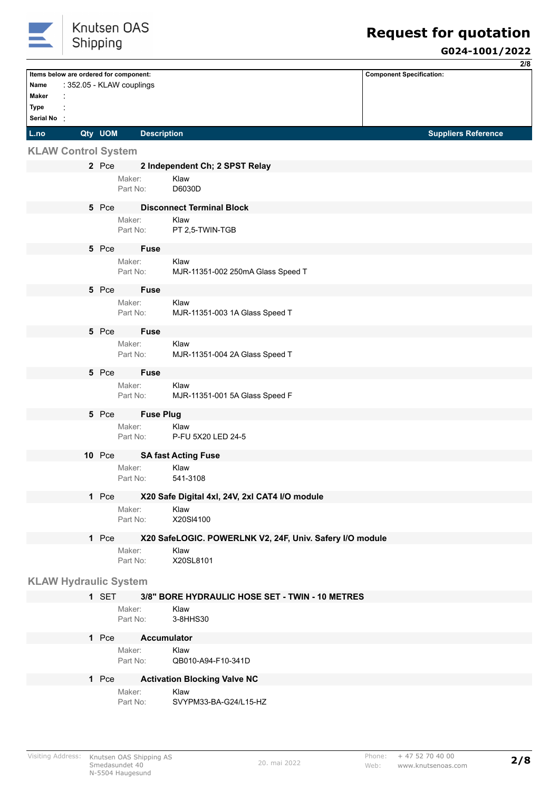

|                                        |               |                           |                                                          | 2/8                             |
|----------------------------------------|---------------|---------------------------|----------------------------------------------------------|---------------------------------|
| Items below are ordered for component: |               |                           |                                                          | <b>Component Specification:</b> |
| Name<br>Maker                          |               | : 352.05 - KLAW couplings |                                                          |                                 |
| Type                                   |               |                           |                                                          |                                 |
| Serial No:                             |               |                           |                                                          |                                 |
| L.no                                   | Qty UOM       | <b>Description</b>        |                                                          | <b>Suppliers Reference</b>      |
|                                        |               |                           |                                                          |                                 |
| <b>KLAW Control System</b>             |               |                           |                                                          |                                 |
|                                        | 2 Pce         |                           | 2 Independent Ch; 2 SPST Relay<br>Klaw                   |                                 |
|                                        |               | Maker:<br>Part No:        | D6030D                                                   |                                 |
|                                        |               |                           |                                                          |                                 |
|                                        | 5 Pce         | Maker:                    | <b>Disconnect Terminal Block</b><br>Klaw                 |                                 |
|                                        |               | Part No:                  | PT 2,5-TWIN-TGB                                          |                                 |
|                                        | 5 Pce         | <b>Fuse</b>               |                                                          |                                 |
|                                        |               | Maker:                    | Klaw                                                     |                                 |
|                                        |               | Part No:                  | MJR-11351-002 250mA Glass Speed T                        |                                 |
|                                        |               |                           |                                                          |                                 |
|                                        | 5 Pce         | <b>Fuse</b><br>Maker:     | Klaw                                                     |                                 |
|                                        |               | Part No:                  | MJR-11351-003 1A Glass Speed T                           |                                 |
|                                        |               |                           |                                                          |                                 |
|                                        | 5 Pce         | <b>Fuse</b><br>Maker:     | Klaw                                                     |                                 |
|                                        |               | Part No:                  | MJR-11351-004 2A Glass Speed T                           |                                 |
|                                        |               |                           |                                                          |                                 |
|                                        | 5 Pce         | <b>Fuse</b><br>Maker:     | Klaw                                                     |                                 |
|                                        |               | Part No:                  | MJR-11351-001 5A Glass Speed F                           |                                 |
|                                        | 5 Pce         | <b>Fuse Plug</b>          |                                                          |                                 |
|                                        |               | Maker:                    | Klaw                                                     |                                 |
|                                        |               | Part No:                  | P-FU 5X20 LED 24-5                                       |                                 |
|                                        | <b>10 Pce</b> |                           | <b>SA fast Acting Fuse</b>                               |                                 |
|                                        |               | Maker:                    | Klaw                                                     |                                 |
|                                        |               | Part No:                  | 541-3108                                                 |                                 |
|                                        | 1 Pce         |                           | X20 Safe Digital 4xl, 24V, 2xl CAT4 I/O module           |                                 |
|                                        |               | Maker:                    | Klaw                                                     |                                 |
|                                        |               | Part No:                  | X20SI4100                                                |                                 |
|                                        | 1 Pce         |                           | X20 SafeLOGIC. POWERLNK V2, 24F, Univ. Safery I/O module |                                 |
|                                        |               | Maker:                    | Klaw                                                     |                                 |
|                                        |               | Part No:                  | X20SL8101                                                |                                 |
| <b>KLAW Hydraulic System</b>           |               |                           |                                                          |                                 |
|                                        | 1 SET         |                           | 3/8" BORE HYDRAULIC HOSE SET - TWIN - 10 METRES          |                                 |
|                                        |               | Maker:                    | Klaw                                                     |                                 |
|                                        |               | Part No:                  | 3-8HHS30                                                 |                                 |
|                                        | 1 Pce         |                           | <b>Accumulator</b>                                       |                                 |
|                                        |               | Maker:                    | Klaw                                                     |                                 |
|                                        |               | Part No:                  | QB010-A94-F10-341D                                       |                                 |
|                                        | 1 Pce         |                           | <b>Activation Blocking Valve NC</b>                      |                                 |
|                                        |               | Maker:                    | Klaw                                                     |                                 |
|                                        |               | Part No:                  | SVYPM33-BA-G24/L15-HZ                                    |                                 |
|                                        |               |                           |                                                          |                                 |
|                                        |               |                           |                                                          |                                 |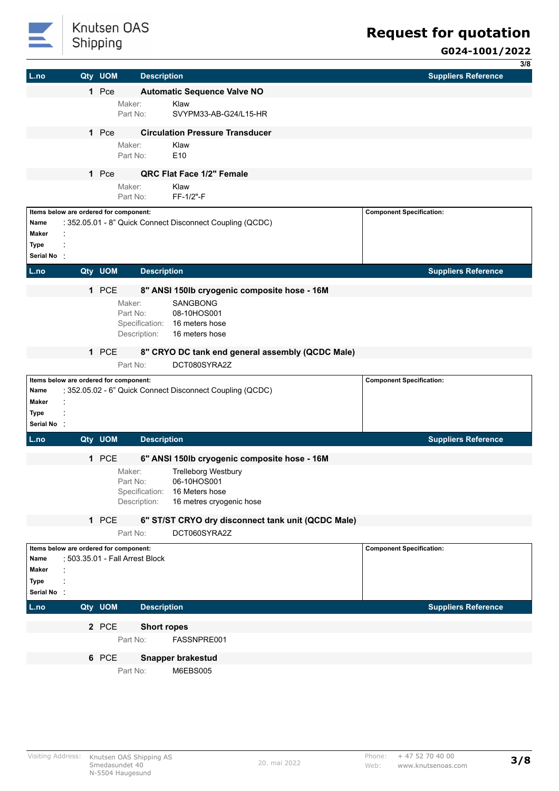

# Knutsen OAS Shipping

# **Request for quotation**

|              |         |                                        |                                                           | 3/8                             |
|--------------|---------|----------------------------------------|-----------------------------------------------------------|---------------------------------|
| L.no         | Qty UOM | <b>Description</b>                     |                                                           | <b>Suppliers Reference</b>      |
|              | 1 Pce   |                                        | <b>Automatic Sequence Valve NO</b>                        |                                 |
|              |         | Maker:                                 | Klaw                                                      |                                 |
|              |         | Part No:                               | SVYPM33-AB-G24/L15-HR                                     |                                 |
|              |         |                                        |                                                           |                                 |
|              | 1 Pce   |                                        | <b>Circulation Pressure Transducer</b>                    |                                 |
|              |         | Maker:                                 | Klaw                                                      |                                 |
|              |         | Part No:                               | E10                                                       |                                 |
|              | 1 Pce   |                                        | QRC Flat Face 1/2" Female                                 |                                 |
|              |         | Maker:                                 | Klaw                                                      |                                 |
|              |         | Part No:                               | FF-1/2"-F                                                 |                                 |
|              |         | Items below are ordered for component: |                                                           | <b>Component Specification:</b> |
| Name         |         |                                        | : 352.05.01 - 8" Quick Connect Disconnect Coupling (QCDC) |                                 |
| <b>Maker</b> |         |                                        |                                                           |                                 |
| Type         |         |                                        |                                                           |                                 |
| Serial No:   |         |                                        |                                                           |                                 |
|              | Qty UOM |                                        |                                                           | <b>Suppliers Reference</b>      |
| L.no         |         | <b>Description</b>                     |                                                           |                                 |
|              | 1 PCE   |                                        | 8" ANSI 150lb cryogenic composite hose - 16M              |                                 |
|              |         | Maker:                                 | SANGBONG                                                  |                                 |
|              |         | Part No:                               | 08-10HOS001                                               |                                 |
|              |         | Specification:                         | 16 meters hose                                            |                                 |
|              |         | Description:                           | 16 meters hose                                            |                                 |
|              |         |                                        |                                                           |                                 |
|              | 1 PCE   |                                        | 8" CRYO DC tank end general assembly (QCDC Male)          |                                 |
|              |         | Part No:                               | DCT080SYRA2Z                                              |                                 |
|              |         | Items below are ordered for component: |                                                           | <b>Component Specification:</b> |
| Name         |         |                                        | : 352.05.02 - 6" Quick Connect Disconnect Coupling (QCDC) |                                 |
| Maker        |         |                                        |                                                           |                                 |
| Type         |         |                                        |                                                           |                                 |
| Serial No:   |         |                                        |                                                           |                                 |
| L.no         | Qty UOM | <b>Description</b>                     |                                                           | <b>Suppliers Reference</b>      |
|              |         |                                        |                                                           |                                 |
|              | 1 PCE   |                                        | 6" ANSI 150lb cryogenic composite hose - 16M              |                                 |
|              |         | Maker:                                 | <b>Trelleborg Westbury</b>                                |                                 |
|              |         | Part No:<br>Specification:             | 06-10HOS001<br>16 Meters hose                             |                                 |
|              |         | Description:                           | 16 metres cryogenic hose                                  |                                 |
|              |         |                                        |                                                           |                                 |
|              | 1 PCE   |                                        | 6" ST/ST CRYO dry disconnect tank unit (QCDC Male)        |                                 |
|              |         | Part No:                               | DCT060SYRA2Z                                              |                                 |
|              |         | Items below are ordered for component: |                                                           | <b>Component Specification:</b> |
| Name         |         | : 503.35.01 - Fall Arrest Block        |                                                           |                                 |
| Maker        |         |                                        |                                                           |                                 |
| Type         |         |                                        |                                                           |                                 |
| Serial No    |         |                                        |                                                           |                                 |
| L.no         | Qty UOM | <b>Description</b>                     |                                                           | <b>Suppliers Reference</b>      |
|              |         |                                        |                                                           |                                 |
|              | 2 PCE   | <b>Short ropes</b>                     |                                                           |                                 |
|              |         | Part No:                               | FASSNPRE001                                               |                                 |
|              |         |                                        |                                                           |                                 |
|              | 6 PCE   |                                        | <b>Snapper brakestud</b>                                  |                                 |
|              |         | Part No:                               | M6EBS005                                                  |                                 |
|              |         |                                        |                                                           |                                 |
|              |         |                                        |                                                           |                                 |
|              |         |                                        |                                                           |                                 |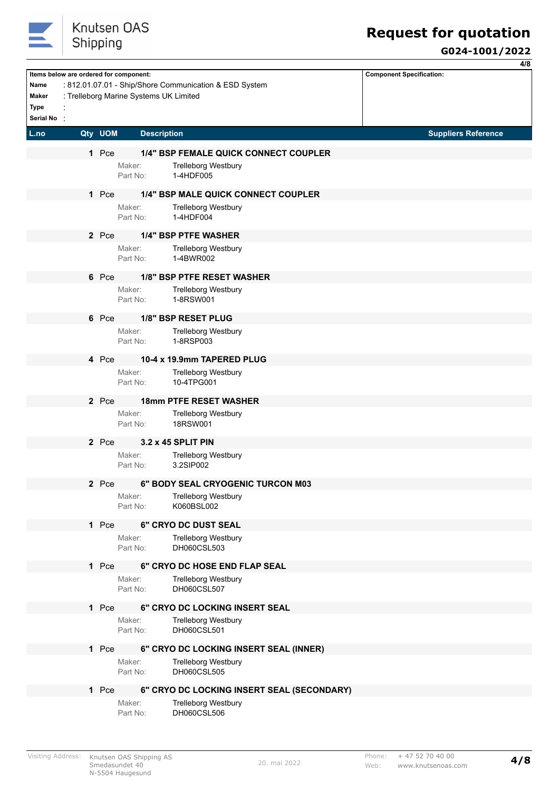

**4/8**

|                                                   |          |                                                                                  |                                                                     |                                 | 47 O |
|---------------------------------------------------|----------|----------------------------------------------------------------------------------|---------------------------------------------------------------------|---------------------------------|------|
| Name<br><b>Maker</b><br><b>Type</b><br>Serial No: |          | Items below are ordered for component:<br>: Trelleborg Marine Systems UK Limited | : 812.01.07.01 - Ship/Shore Communication & ESD System              | <b>Component Specification:</b> |      |
| L.no                                              | Qty UOM  | <b>Description</b>                                                               |                                                                     | <b>Suppliers Reference</b>      |      |
|                                                   | 1 Pce    | Maker:                                                                           | 1/4" BSP FEMALE QUICK CONNECT COUPLER<br><b>Trelleborg Westbury</b> |                                 |      |
|                                                   |          | Part No:                                                                         | 1-4HDF005                                                           |                                 |      |
|                                                   | 1 Pce    | Maker:                                                                           | 1/4" BSP MALE QUICK CONNECT COUPLER<br><b>Trelleborg Westbury</b>   |                                 |      |
|                                                   |          | Part No:                                                                         | 1-4HDF004                                                           |                                 |      |
|                                                   | 2 Pce    |                                                                                  | <b>1/4" BSP PTFE WASHER</b>                                         |                                 |      |
|                                                   |          | Maker:<br>Part No:                                                               | <b>Trelleborg Westbury</b><br>1-4BWR002                             |                                 |      |
|                                                   | 6 Pce    |                                                                                  | 1/8" BSP PTFE RESET WASHER                                          |                                 |      |
|                                                   |          | Maker:<br>Part No:                                                               | <b>Trelleborg Westbury</b><br>1-8RSW001                             |                                 |      |
|                                                   | 6 Pce    |                                                                                  | 1/8" BSP RESET PLUG                                                 |                                 |      |
|                                                   |          | Maker:<br>Part No:                                                               | <b>Trelleborg Westbury</b><br>1-8RSP003                             |                                 |      |
|                                                   | 4 Pce    |                                                                                  | 10-4 x 19.9mm TAPERED PLUG                                          |                                 |      |
|                                                   |          | Maker:<br>Part No:                                                               | <b>Trelleborg Westbury</b><br>10-4TPG001                            |                                 |      |
|                                                   | 2 Pce    |                                                                                  | <b>18mm PTFE RESET WASHER</b>                                       |                                 |      |
|                                                   |          | Maker:<br>Part No:                                                               | <b>Trelleborg Westbury</b><br>18RSW001                              |                                 |      |
|                                                   | 2 Pce    |                                                                                  | 3.2 x 45 SPLIT PIN                                                  |                                 |      |
|                                                   |          | Maker:<br>Part No:                                                               | <b>Trelleborg Westbury</b><br>3.2SIP002                             |                                 |      |
|                                                   | Pce<br>2 |                                                                                  | 6" BODY SEAL CRYOGENIC TURCON M03                                   |                                 |      |
|                                                   |          | Maker:<br>Part No:                                                               | <b>Trelleborg Westbury</b><br>K060BSL002                            |                                 |      |
|                                                   | 1 Pce    |                                                                                  | 6" CRYO DC DUST SEAL                                                |                                 |      |
|                                                   |          | Maker:<br>Part No:                                                               | <b>Trelleborg Westbury</b><br>DH060CSL503                           |                                 |      |
|                                                   | 1 Pce    |                                                                                  | 6" CRYO DC HOSE END FLAP SEAL                                       |                                 |      |
|                                                   |          | Maker:<br>Part No:                                                               | <b>Trelleborg Westbury</b><br>DH060CSL507                           |                                 |      |
|                                                   | 1 Pce    |                                                                                  | 6" CRYO DC LOCKING INSERT SEAL                                      |                                 |      |
|                                                   |          | Maker:<br>Part No:                                                               | <b>Trelleborg Westbury</b><br>DH060CSL501                           |                                 |      |
|                                                   | 1 Pce    |                                                                                  | 6" CRYO DC LOCKING INSERT SEAL (INNER)                              |                                 |      |
|                                                   |          | Maker:<br>Part No:                                                               | <b>Trelleborg Westbury</b><br>DH060CSL505                           |                                 |      |
|                                                   | 1 Pce    |                                                                                  | 6" CRYO DC LOCKING INSERT SEAL (SECONDARY)                          |                                 |      |
|                                                   |          | Maker:<br>Part No:                                                               | <b>Trelleborg Westbury</b><br>DH060CSL506                           |                                 |      |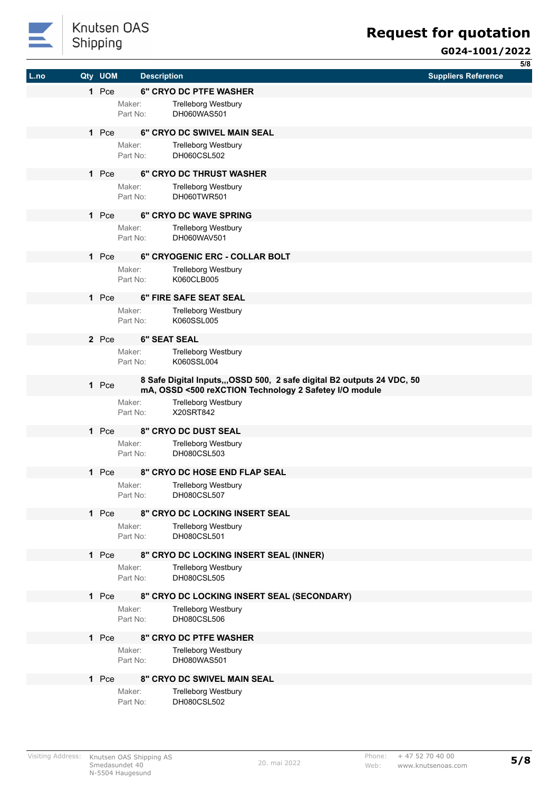

**5/8**

| 1 Pce<br><b>6" CRYO DC PTFE WASHER</b><br>Maker:<br><b>Trelleborg Westbury</b><br>Part No:<br>DH060WAS501<br>6" CRYO DC SWIVEL MAIN SEAL<br>1 Pce<br>Maker:<br><b>Trelleborg Westbury</b><br>DH060CSL502<br>Part No:<br>6" CRYO DC THRUST WASHER<br>1 Pce<br>Maker:<br><b>Trelleborg Westbury</b><br>DH060TWR501<br>Part No:<br>6" CRYO DC WAVE SPRING<br>1 Pce<br>Maker:<br><b>Trelleborg Westbury</b><br>DH060WAV501<br>Part No:<br>1 Pce<br>6" CRYOGENIC ERC - COLLAR BOLT<br>Maker:<br><b>Trelleborg Westbury</b><br>K060CLB005<br>Part No:<br>1 Pce<br>6" FIRE SAFE SEAT SEAL<br>Maker:<br><b>Trelleborg Westbury</b><br>K060SSL005<br>Part No:<br><b>6" SEAT SEAL</b><br>2 Pce<br>Maker:<br><b>Trelleborg Westbury</b><br>K060SSL004<br>Part No:<br>8 Safe Digital Inputs,,,OSSD 500, 2 safe digital B2 outputs 24 VDC, 50<br>1 Pce<br>mA, OSSD <500 reXCTION Technology 2 Safetey I/O module<br><b>Trelleborg Westbury</b><br>Maker:<br>X20SRT842<br>Part No:<br>1 Pce<br>8" CRYO DC DUST SEAL<br>Maker:<br><b>Trelleborg Westbury</b><br>DH080CSL503<br>Part No:<br>1 Pce<br><b>8" CRYO DC HOSE END FLAP SEAL</b><br><b>Trelleborg Westbury</b><br>Maker:<br>DH080CSL507<br>Part No:<br>8" CRYO DC LOCKING INSERT SEAL<br>1 Pce<br>Maker:<br><b>Trelleborg Westbury</b><br>Part No:<br>DH080CSL501<br>1 Pce<br>8" CRYO DC LOCKING INSERT SEAL (INNER)<br>Maker:<br><b>Trelleborg Westbury</b><br>DH080CSL505<br>Part No:<br>1 Pce<br>8" CRYO DC LOCKING INSERT SEAL (SECONDARY)<br>Maker:<br><b>Trelleborg Westbury</b><br>DH080CSL506<br>Part No:<br><b>8" CRYO DC PTFE WASHER</b><br>1 Pce<br>Maker:<br><b>Trelleborg Westbury</b><br>DH080WAS501<br>Part No:<br>8" CRYO DC SWIVEL MAIN SEAL<br>1 Pce<br>Maker:<br><b>Trelleborg Westbury</b><br>Part No:<br>DH080CSL502 | L.no | Qty UOM | <b>Description</b> | <b>Suppliers Reference</b> |
|------------------------------------------------------------------------------------------------------------------------------------------------------------------------------------------------------------------------------------------------------------------------------------------------------------------------------------------------------------------------------------------------------------------------------------------------------------------------------------------------------------------------------------------------------------------------------------------------------------------------------------------------------------------------------------------------------------------------------------------------------------------------------------------------------------------------------------------------------------------------------------------------------------------------------------------------------------------------------------------------------------------------------------------------------------------------------------------------------------------------------------------------------------------------------------------------------------------------------------------------------------------------------------------------------------------------------------------------------------------------------------------------------------------------------------------------------------------------------------------------------------------------------------------------------------------------------------------------------------------------------------------------------------------------------------------------------------------------------------------------------------------------------------|------|---------|--------------------|----------------------------|
|                                                                                                                                                                                                                                                                                                                                                                                                                                                                                                                                                                                                                                                                                                                                                                                                                                                                                                                                                                                                                                                                                                                                                                                                                                                                                                                                                                                                                                                                                                                                                                                                                                                                                                                                                                                    |      |         |                    |                            |
|                                                                                                                                                                                                                                                                                                                                                                                                                                                                                                                                                                                                                                                                                                                                                                                                                                                                                                                                                                                                                                                                                                                                                                                                                                                                                                                                                                                                                                                                                                                                                                                                                                                                                                                                                                                    |      |         |                    |                            |
|                                                                                                                                                                                                                                                                                                                                                                                                                                                                                                                                                                                                                                                                                                                                                                                                                                                                                                                                                                                                                                                                                                                                                                                                                                                                                                                                                                                                                                                                                                                                                                                                                                                                                                                                                                                    |      |         |                    |                            |
|                                                                                                                                                                                                                                                                                                                                                                                                                                                                                                                                                                                                                                                                                                                                                                                                                                                                                                                                                                                                                                                                                                                                                                                                                                                                                                                                                                                                                                                                                                                                                                                                                                                                                                                                                                                    |      |         |                    |                            |
|                                                                                                                                                                                                                                                                                                                                                                                                                                                                                                                                                                                                                                                                                                                                                                                                                                                                                                                                                                                                                                                                                                                                                                                                                                                                                                                                                                                                                                                                                                                                                                                                                                                                                                                                                                                    |      |         |                    |                            |
|                                                                                                                                                                                                                                                                                                                                                                                                                                                                                                                                                                                                                                                                                                                                                                                                                                                                                                                                                                                                                                                                                                                                                                                                                                                                                                                                                                                                                                                                                                                                                                                                                                                                                                                                                                                    |      |         |                    |                            |
|                                                                                                                                                                                                                                                                                                                                                                                                                                                                                                                                                                                                                                                                                                                                                                                                                                                                                                                                                                                                                                                                                                                                                                                                                                                                                                                                                                                                                                                                                                                                                                                                                                                                                                                                                                                    |      |         |                    |                            |
|                                                                                                                                                                                                                                                                                                                                                                                                                                                                                                                                                                                                                                                                                                                                                                                                                                                                                                                                                                                                                                                                                                                                                                                                                                                                                                                                                                                                                                                                                                                                                                                                                                                                                                                                                                                    |      |         |                    |                            |
|                                                                                                                                                                                                                                                                                                                                                                                                                                                                                                                                                                                                                                                                                                                                                                                                                                                                                                                                                                                                                                                                                                                                                                                                                                                                                                                                                                                                                                                                                                                                                                                                                                                                                                                                                                                    |      |         |                    |                            |
|                                                                                                                                                                                                                                                                                                                                                                                                                                                                                                                                                                                                                                                                                                                                                                                                                                                                                                                                                                                                                                                                                                                                                                                                                                                                                                                                                                                                                                                                                                                                                                                                                                                                                                                                                                                    |      |         |                    |                            |
|                                                                                                                                                                                                                                                                                                                                                                                                                                                                                                                                                                                                                                                                                                                                                                                                                                                                                                                                                                                                                                                                                                                                                                                                                                                                                                                                                                                                                                                                                                                                                                                                                                                                                                                                                                                    |      |         |                    |                            |
|                                                                                                                                                                                                                                                                                                                                                                                                                                                                                                                                                                                                                                                                                                                                                                                                                                                                                                                                                                                                                                                                                                                                                                                                                                                                                                                                                                                                                                                                                                                                                                                                                                                                                                                                                                                    |      |         |                    |                            |
|                                                                                                                                                                                                                                                                                                                                                                                                                                                                                                                                                                                                                                                                                                                                                                                                                                                                                                                                                                                                                                                                                                                                                                                                                                                                                                                                                                                                                                                                                                                                                                                                                                                                                                                                                                                    |      |         |                    |                            |
|                                                                                                                                                                                                                                                                                                                                                                                                                                                                                                                                                                                                                                                                                                                                                                                                                                                                                                                                                                                                                                                                                                                                                                                                                                                                                                                                                                                                                                                                                                                                                                                                                                                                                                                                                                                    |      |         |                    |                            |
|                                                                                                                                                                                                                                                                                                                                                                                                                                                                                                                                                                                                                                                                                                                                                                                                                                                                                                                                                                                                                                                                                                                                                                                                                                                                                                                                                                                                                                                                                                                                                                                                                                                                                                                                                                                    |      |         |                    |                            |
|                                                                                                                                                                                                                                                                                                                                                                                                                                                                                                                                                                                                                                                                                                                                                                                                                                                                                                                                                                                                                                                                                                                                                                                                                                                                                                                                                                                                                                                                                                                                                                                                                                                                                                                                                                                    |      |         |                    |                            |
|                                                                                                                                                                                                                                                                                                                                                                                                                                                                                                                                                                                                                                                                                                                                                                                                                                                                                                                                                                                                                                                                                                                                                                                                                                                                                                                                                                                                                                                                                                                                                                                                                                                                                                                                                                                    |      |         |                    |                            |
|                                                                                                                                                                                                                                                                                                                                                                                                                                                                                                                                                                                                                                                                                                                                                                                                                                                                                                                                                                                                                                                                                                                                                                                                                                                                                                                                                                                                                                                                                                                                                                                                                                                                                                                                                                                    |      |         |                    |                            |
|                                                                                                                                                                                                                                                                                                                                                                                                                                                                                                                                                                                                                                                                                                                                                                                                                                                                                                                                                                                                                                                                                                                                                                                                                                                                                                                                                                                                                                                                                                                                                                                                                                                                                                                                                                                    |      |         |                    |                            |
|                                                                                                                                                                                                                                                                                                                                                                                                                                                                                                                                                                                                                                                                                                                                                                                                                                                                                                                                                                                                                                                                                                                                                                                                                                                                                                                                                                                                                                                                                                                                                                                                                                                                                                                                                                                    |      |         |                    |                            |
|                                                                                                                                                                                                                                                                                                                                                                                                                                                                                                                                                                                                                                                                                                                                                                                                                                                                                                                                                                                                                                                                                                                                                                                                                                                                                                                                                                                                                                                                                                                                                                                                                                                                                                                                                                                    |      |         |                    |                            |
|                                                                                                                                                                                                                                                                                                                                                                                                                                                                                                                                                                                                                                                                                                                                                                                                                                                                                                                                                                                                                                                                                                                                                                                                                                                                                                                                                                                                                                                                                                                                                                                                                                                                                                                                                                                    |      |         |                    |                            |
|                                                                                                                                                                                                                                                                                                                                                                                                                                                                                                                                                                                                                                                                                                                                                                                                                                                                                                                                                                                                                                                                                                                                                                                                                                                                                                                                                                                                                                                                                                                                                                                                                                                                                                                                                                                    |      |         |                    |                            |
|                                                                                                                                                                                                                                                                                                                                                                                                                                                                                                                                                                                                                                                                                                                                                                                                                                                                                                                                                                                                                                                                                                                                                                                                                                                                                                                                                                                                                                                                                                                                                                                                                                                                                                                                                                                    |      |         |                    |                            |
|                                                                                                                                                                                                                                                                                                                                                                                                                                                                                                                                                                                                                                                                                                                                                                                                                                                                                                                                                                                                                                                                                                                                                                                                                                                                                                                                                                                                                                                                                                                                                                                                                                                                                                                                                                                    |      |         |                    |                            |
|                                                                                                                                                                                                                                                                                                                                                                                                                                                                                                                                                                                                                                                                                                                                                                                                                                                                                                                                                                                                                                                                                                                                                                                                                                                                                                                                                                                                                                                                                                                                                                                                                                                                                                                                                                                    |      |         |                    |                            |
|                                                                                                                                                                                                                                                                                                                                                                                                                                                                                                                                                                                                                                                                                                                                                                                                                                                                                                                                                                                                                                                                                                                                                                                                                                                                                                                                                                                                                                                                                                                                                                                                                                                                                                                                                                                    |      |         |                    |                            |
|                                                                                                                                                                                                                                                                                                                                                                                                                                                                                                                                                                                                                                                                                                                                                                                                                                                                                                                                                                                                                                                                                                                                                                                                                                                                                                                                                                                                                                                                                                                                                                                                                                                                                                                                                                                    |      |         |                    |                            |
|                                                                                                                                                                                                                                                                                                                                                                                                                                                                                                                                                                                                                                                                                                                                                                                                                                                                                                                                                                                                                                                                                                                                                                                                                                                                                                                                                                                                                                                                                                                                                                                                                                                                                                                                                                                    |      |         |                    |                            |
|                                                                                                                                                                                                                                                                                                                                                                                                                                                                                                                                                                                                                                                                                                                                                                                                                                                                                                                                                                                                                                                                                                                                                                                                                                                                                                                                                                                                                                                                                                                                                                                                                                                                                                                                                                                    |      |         |                    |                            |
|                                                                                                                                                                                                                                                                                                                                                                                                                                                                                                                                                                                                                                                                                                                                                                                                                                                                                                                                                                                                                                                                                                                                                                                                                                                                                                                                                                                                                                                                                                                                                                                                                                                                                                                                                                                    |      |         |                    |                            |
|                                                                                                                                                                                                                                                                                                                                                                                                                                                                                                                                                                                                                                                                                                                                                                                                                                                                                                                                                                                                                                                                                                                                                                                                                                                                                                                                                                                                                                                                                                                                                                                                                                                                                                                                                                                    |      |         |                    |                            |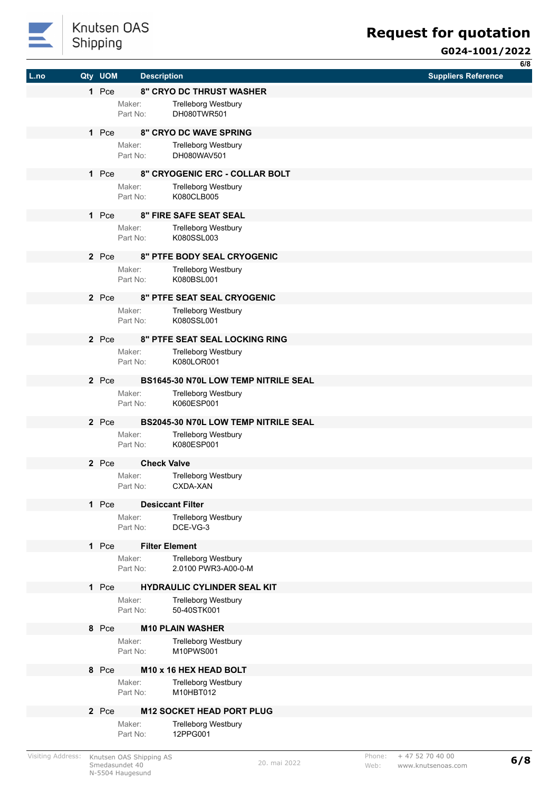

|      |         |                    |                                             | 6/8                        |
|------|---------|--------------------|---------------------------------------------|----------------------------|
| L.no | Qty UOM | <b>Description</b> |                                             | <b>Suppliers Reference</b> |
|      | 1 Pce   |                    | 8" CRYO DC THRUST WASHER                    |                            |
|      |         | Maker:             | <b>Trelleborg Westbury</b>                  |                            |
|      |         | Part No:           | DH080TWR501                                 |                            |
|      | 1 Pce   |                    | <b>8" CRYO DC WAVE SPRING</b>               |                            |
|      |         | Maker:             | <b>Trelleborg Westbury</b>                  |                            |
|      |         | Part No:           | DH080WAV501                                 |                            |
|      | 1 Pce   |                    | 8" CRYOGENIC ERC - COLLAR BOLT              |                            |
|      |         | Maker:             | <b>Trelleborg Westbury</b>                  |                            |
|      |         | Part No:           | K080CLB005                                  |                            |
|      | 1 Pce   |                    | <b>8" FIRE SAFE SEAT SEAL</b>               |                            |
|      |         | Maker:             | <b>Trelleborg Westbury</b>                  |                            |
|      |         | Part No:           | K080SSL003                                  |                            |
|      | 2 Pce   |                    | 8" PTFE BODY SEAL CRYOGENIC                 |                            |
|      |         | Maker:             | <b>Trelleborg Westbury</b>                  |                            |
|      |         | Part No:           | K080BSL001                                  |                            |
|      | 2 Pce   |                    | 8" PTFE SEAT SEAL CRYOGENIC                 |                            |
|      |         | Maker:             | <b>Trelleborg Westbury</b>                  |                            |
|      |         | Part No:           | K080SSL001                                  |                            |
|      | 2 Pce   |                    | <b>8" PTFE SEAT SEAL LOCKING RING</b>       |                            |
|      |         | Maker:             | <b>Trelleborg Westbury</b>                  |                            |
|      |         | Part No:           | K080LOR001                                  |                            |
|      | 2 Pce   |                    | <b>BS1645-30 N70L LOW TEMP NITRILE SEAL</b> |                            |
|      |         | Maker:             | <b>Trelleborg Westbury</b>                  |                            |
|      |         | Part No:           | K060ESP001                                  |                            |
|      | 2 Pce   |                    | <b>BS2045-30 N70L LOW TEMP NITRILE SEAL</b> |                            |
|      |         | Maker:             | <b>Trelleborg Westbury</b>                  |                            |
|      |         | Part No:           | K080ESP001                                  |                            |
|      | 2 Pce   | <b>Check Valve</b> |                                             |                            |
|      |         | Maker:             | Trelleborg Westbury                         |                            |
|      |         | Part No:           | CXDA-XAN                                    |                            |
|      | 1 Pce   |                    | <b>Desiccant Filter</b>                     |                            |
|      |         | Maker:             | <b>Trelleborg Westbury</b>                  |                            |
|      |         | Part No:           | DCE-VG-3                                    |                            |
|      | 1 Pce   |                    | <b>Filter Element</b>                       |                            |
|      |         | Maker:             | <b>Trelleborg Westbury</b>                  |                            |
|      |         | Part No:           | 2.0100 PWR3-A00-0-M                         |                            |
|      | 1 Pce   |                    | <b>HYDRAULIC CYLINDER SEAL KIT</b>          |                            |
|      |         | Maker:             | <b>Trelleborg Westbury</b>                  |                            |
|      |         | Part No:           | 50-40STK001                                 |                            |
|      | 8 Pce   |                    | <b>M10 PLAIN WASHER</b>                     |                            |
|      |         | Maker:             | <b>Trelleborg Westbury</b>                  |                            |
|      |         | Part No:           | M10PWS001                                   |                            |
|      | 8 Pce   |                    | M10 x 16 HEX HEAD BOLT                      |                            |
|      |         | Maker:             | <b>Trelleborg Westbury</b>                  |                            |
|      |         | Part No:           | M10HBT012                                   |                            |
|      | 2 Pce   |                    | <b>M12 SOCKET HEAD PORT PLUG</b>            |                            |
|      |         | Maker:             | <b>Trelleborg Westbury</b>                  |                            |
|      |         | Part No:           | 12PPG001                                    |                            |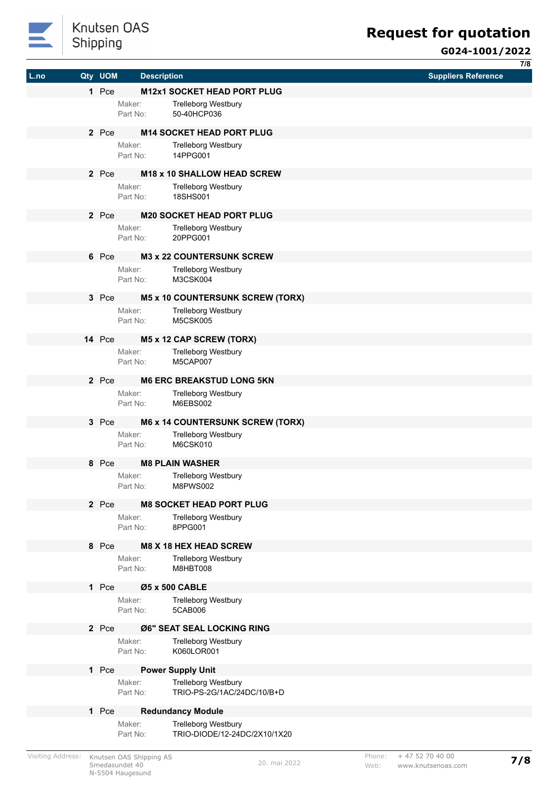

|      |         |                    |                                               |                            | $\overline{7/8}$ |
|------|---------|--------------------|-----------------------------------------------|----------------------------|------------------|
| L.no | Qty UOM | <b>Description</b> |                                               | <b>Suppliers Reference</b> |                  |
|      | 1 Pce   |                    | M12x1 SOCKET HEAD PORT PLUG                   |                            |                  |
|      |         | Maker:             | <b>Trelleborg Westbury</b>                    |                            |                  |
|      |         | Part No:           | 50-40HCP036                                   |                            |                  |
|      |         |                    |                                               |                            |                  |
|      | 2 Pce   |                    | <b>M14 SOCKET HEAD PORT PLUG</b>              |                            |                  |
|      |         | Maker:             | <b>Trelleborg Westbury</b>                    |                            |                  |
|      |         | Part No:           | 14PPG001                                      |                            |                  |
|      | 2 Pce   |                    | <b>M18 x 10 SHALLOW HEAD SCREW</b>            |                            |                  |
|      |         | Maker:             | <b>Trelleborg Westbury</b>                    |                            |                  |
|      |         | Part No:           | 18SHS001                                      |                            |                  |
|      |         |                    |                                               |                            |                  |
|      | 2 Pce   |                    | <b>M20 SOCKET HEAD PORT PLUG</b>              |                            |                  |
|      |         | Maker:             | <b>Trelleborg Westbury</b>                    |                            |                  |
|      |         | Part No:           | 20PPG001                                      |                            |                  |
|      | 6 Pce   |                    | <b>M3 x 22 COUNTERSUNK SCREW</b>              |                            |                  |
|      |         | Maker:             | <b>Trelleborg Westbury</b>                    |                            |                  |
|      |         | Part No:           | M3CSK004                                      |                            |                  |
|      |         |                    |                                               |                            |                  |
|      | 3 Pce   |                    | <b>M5 x 10 COUNTERSUNK SCREW (TORX)</b>       |                            |                  |
|      |         | Maker:<br>Part No: | <b>Trelleborg Westbury</b><br><b>M5CSK005</b> |                            |                  |
|      |         |                    |                                               |                            |                  |
|      | 14 Pce  |                    | M5 x 12 CAP SCREW (TORX)                      |                            |                  |
|      |         | Maker:             | <b>Trelleborg Westbury</b>                    |                            |                  |
|      |         | Part No:           | M5CAP007                                      |                            |                  |
|      | 2 Pce   |                    | <b>M6 ERC BREAKSTUD LONG 5KN</b>              |                            |                  |
|      |         | Maker:             | <b>Trelleborg Westbury</b>                    |                            |                  |
|      |         | Part No:           | M6EBS002                                      |                            |                  |
|      |         |                    |                                               |                            |                  |
|      | 3 Pce   |                    | <b>M6 x 14 COUNTERSUNK SCREW (TORX)</b>       |                            |                  |
|      |         | Maker:             | <b>Trelleborg Westbury</b>                    |                            |                  |
|      |         | Part No:           | M6CSK010                                      |                            |                  |
|      | 8 Pce   |                    | <b>M8 PLAIN WASHER</b>                        |                            |                  |
|      |         | Maker:             | <b>Trelleborg Westbury</b>                    |                            |                  |
|      |         | Part No:           | <b>M8PWS002</b>                               |                            |                  |
|      | 2 Pce   |                    | <b>M8 SOCKET HEAD PORT PLUG</b>               |                            |                  |
|      |         | Maker:             | Trelleborg Westbury                           |                            |                  |
|      |         | Part No:           | 8PPG001                                       |                            |                  |
|      |         |                    |                                               |                            |                  |
|      | 8 Pce   |                    | <b>M8 X 18 HEX HEAD SCREW</b>                 |                            |                  |
|      |         | Maker:             | <b>Trelleborg Westbury</b>                    |                            |                  |
|      |         | Part No:           | M8HBT008                                      |                            |                  |
|      | 1 Pce   |                    | Ø5 x 500 CABLE                                |                            |                  |
|      |         | Maker:             | <b>Trelleborg Westbury</b>                    |                            |                  |
|      |         | Part No:           | 5CAB006                                       |                            |                  |
|      | 2 Pce   |                    | Ø6" SEAT SEAL LOCKING RING                    |                            |                  |
|      |         | Maker:             | <b>Trelleborg Westbury</b>                    |                            |                  |
|      |         | Part No:           | K060LOR001                                    |                            |                  |
|      |         |                    |                                               |                            |                  |
|      | 1 Pce   |                    | <b>Power Supply Unit</b>                      |                            |                  |
|      |         | Maker:             | <b>Trelleborg Westbury</b>                    |                            |                  |
|      |         | Part No:           | TRIO-PS-2G/1AC/24DC/10/B+D                    |                            |                  |
|      | 1 Pce   |                    | <b>Redundancy Module</b>                      |                            |                  |
|      |         | Maker:             | <b>Trelleborg Westbury</b>                    |                            |                  |
|      |         | Part No:           | TRIO-DIODE/12-24DC/2X10/1X20                  |                            |                  |
|      |         |                    |                                               |                            |                  |